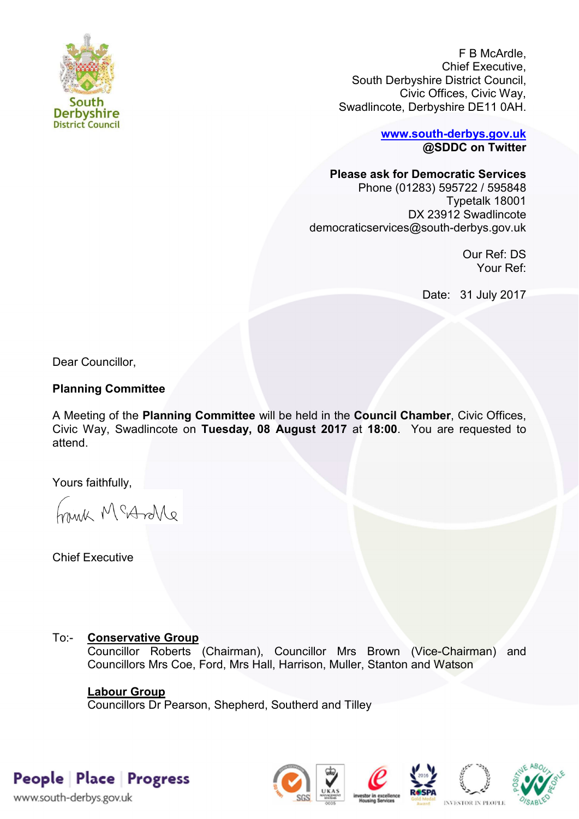

F B McArdle, Chief Executive, South Derbyshire District Council, Civic Offices, Civic Way, Swadlincote, Derbyshire DE11 0AH.

> **[www.south-derbys.gov.uk](http://www.south-derbys.gov.uk/) @SDDC on Twitter**

**Please ask for Democratic Services** 

Phone (01283) 595722 / 595848 Typetalk 18001 DX 23912 Swadlincote democraticservices@south-derbys.gov.uk

> Our Ref: DS Your Ref:

Date: 31 July 2017

Dear Councillor,

# **Planning Committee**

A Meeting of the **Planning Committee** will be held in the **Council Chamber**, Civic Offices, Civic Way, Swadlincote on **Tuesday, 08 August 2017** at **18:00**. You are requested to attend.

Yours faithfully,

brisk McAndre

Chief Executive

# To:- **Conservative Group**

Councillor Roberts (Chairman), Councillor Mrs Brown (Vice-Chairman) and Councillors Mrs Coe, Ford, Mrs Hall, Harrison, Muller, Stanton and Watson

# **Labour Group**

Councillors Dr Pearson, Shepherd, Southerd and Tilley

People Place Progress

www.south-derbys.gov.uk